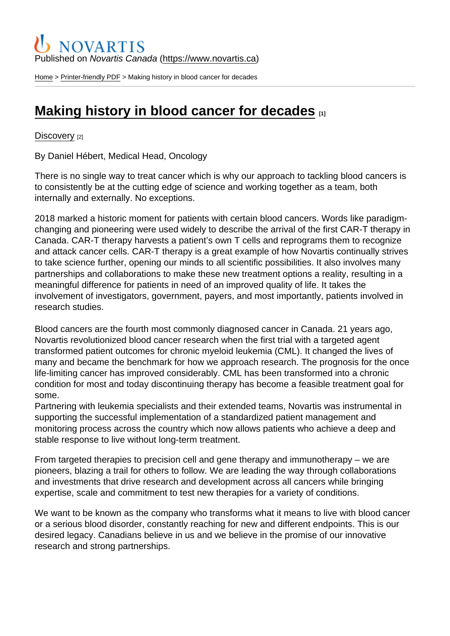### Published on Novartis Canada [\(https://www.novartis.ca\)](https://www.novartis.ca)

[Home](https://www.novartis.ca/en) > [Printer-friendly PDF](https://www.novartis.ca/en/printpdf) > Making history in blood cancer for decades

# [Making history in blood cancer for decades](https://www.novartis.ca/en/stories/discovery/making-history-blood-cancer-decades)  $\Box$

#### [Discovery](https://www.novartis.ca/en/stories/discovery) [2]

By Daniel Hébert, Medical Head, Oncology

There is no single way to treat cancer which is why our approach to tackling blood cancers is to consistently be at the cutting edge of science and working together as a team, both internally and externally. No exceptions.

2018 marked a historic moment for patients with certain blood cancers. Words like paradigmchanging and pioneering were used widely to describe the arrival of the first CAR-T therapy in Canada. CAR-T therapy harvests a patient's own T cells and reprograms them to recognize and attack cancer cells. CAR-T therapy is a great example of how Novartis continually strives to take science further, opening our minds to all scientific possibilities. It also involves many partnerships and collaborations to make these new treatment options a reality, resulting in a meaningful difference for patients in need of an improved quality of life. It takes the involvement of investigators, government, payers, and most importantly, patients involved in research studies.

Blood cancers are the fourth most commonly diagnosed cancer in Canada. 21 years ago, Novartis revolutionized blood cancer research when the first trial with a targeted agent transformed patient outcomes for chronic myeloid leukemia (CML). It changed the lives of many and became the benchmark for how we approach research. The prognosis for the once life-limiting cancer has improved considerably. CML has been transformed into a chronic condition for most and today discontinuing therapy has become a feasible treatment goal for some.

Partnering with leukemia specialists and their extended teams, Novartis was instrumental in supporting the successful implementation of a standardized patient management and monitoring process across the country which now allows patients who achieve a deep and stable response to live without long-term treatment.

From targeted therapies to precision cell and gene therapy and immunotherapy – we are pioneers, blazing a trail for others to follow. We are leading the way through collaborations and investments that drive research and development across all cancers while bringing expertise, scale and commitment to test new therapies for a variety of conditions.

We want to be known as the company who transforms what it means to live with blood cancer or a serious blood disorder, constantly reaching for new and different endpoints. This is our desired legacy. Canadians believe in us and we believe in the promise of our innovative research and strong partnerships.